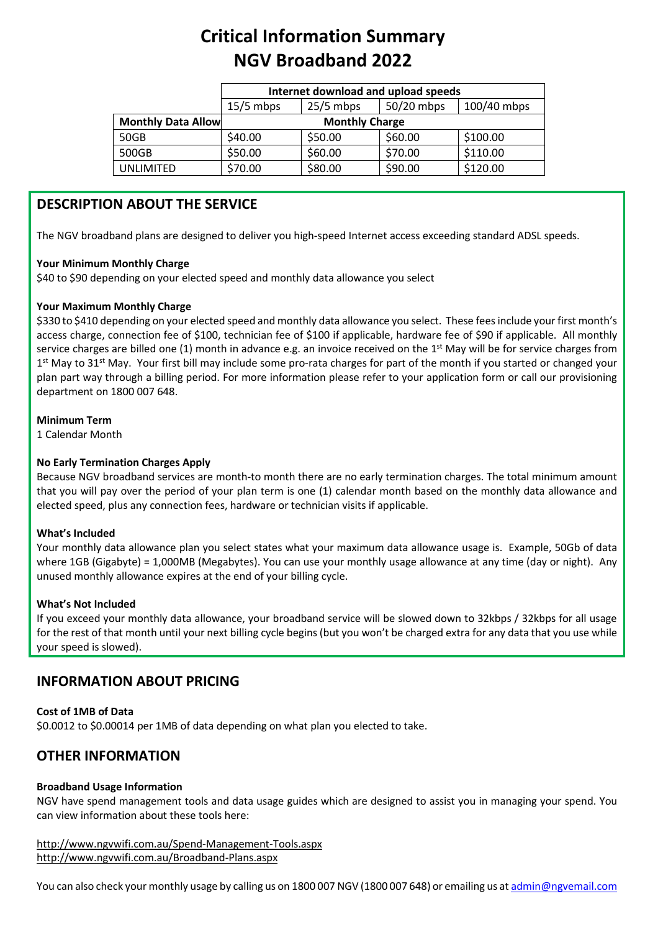# **Critical Information Summary NGV Broadband 2022**

|                           | Internet download and upload speeds |             |            |             |
|---------------------------|-------------------------------------|-------------|------------|-------------|
|                           | $15/5$ mbps                         | $25/5$ mbps | 50/20 mbps | 100/40 mbps |
| <b>Monthly Data Allow</b> | <b>Monthly Charge</b>               |             |            |             |
| 50GB                      | \$40.00                             | \$50.00     | \$60.00    | \$100.00    |
| 500GB                     | \$50.00                             | \$60.00     | \$70.00    | \$110.00    |
| UNLIMITED                 | \$70.00                             | \$80.00     | \$90.00    | \$120.00    |

## **DESCRIPTION ABOUT THE SERVICE**

The NGV broadband plans are designed to deliver you high-speed Internet access exceeding standard ADSL speeds.

#### **Your Minimum Monthly Charge**

\$40 to \$90 depending on your elected speed and monthly data allowance you select

#### **Your Maximum Monthly Charge**

\$330 to \$410 depending on your elected speed and monthly data allowance you select. These fees include your first month's access charge, connection fee of \$100, technician fee of \$100 if applicable, hardware fee of \$90 if applicable. All monthly service charges are billed one  $(1)$  month in advance e.g. an invoice received on the 1<sup>st</sup> May will be for service charges from  $1<sup>st</sup>$  May to 31<sup>st</sup> May. Your first bill may include some pro-rata charges for part of the month if you started or changed your plan part way through a billing period. For more information please refer to your application form or call our provisioning department on 1800 007 648.

#### **Minimum Term**

1 Calendar Month

#### **No Early Termination Charges Apply**

Because NGV broadband services are month-to month there are no early termination charges. The total minimum amount that you will pay over the period of your plan term is one (1) calendar month based on the monthly data allowance and elected speed, plus any connection fees, hardware or technician visits if applicable.

#### **What's Included**

Your monthly data allowance plan you select states what your maximum data allowance usage is. Example, 50Gb of data where 1GB (Gigabyte) = 1,000MB (Megabytes). You can use your monthly usage allowance at any time (day or night). Any unused monthly allowance expires at the end of your billing cycle.

#### **What's Not Included**

If you exceed your monthly data allowance, your broadband service will be slowed down to 32kbps / 32kbps for all usage for the rest of that month until your next billing cycle begins (but you won't be charged extra for any data that you use while your speed is slowed).

## **INFORMATION ABOUT PRICING**

#### **Cost of 1MB of Data**

\$0.0012 to \$0.00014 per 1MB of data depending on what plan you elected to take.

## **OTHER INFORMATION**

#### **Broadband Usage Information**

NGV have spend management tools and data usage guides which are designed to assist you in managing your spend. You can view information about these tools here:

http://www.ngvwifi.com.au/Spend-Management-Tools.aspx <http://www.ngvwifi.com.au/Broadband-Plans.aspx>

You can also check your monthly usage by calling us on 1800 007 NGV (1800 007 648) or emailing us a[t admin@ngvemail.com](mailto:admin@ngvemail.com)